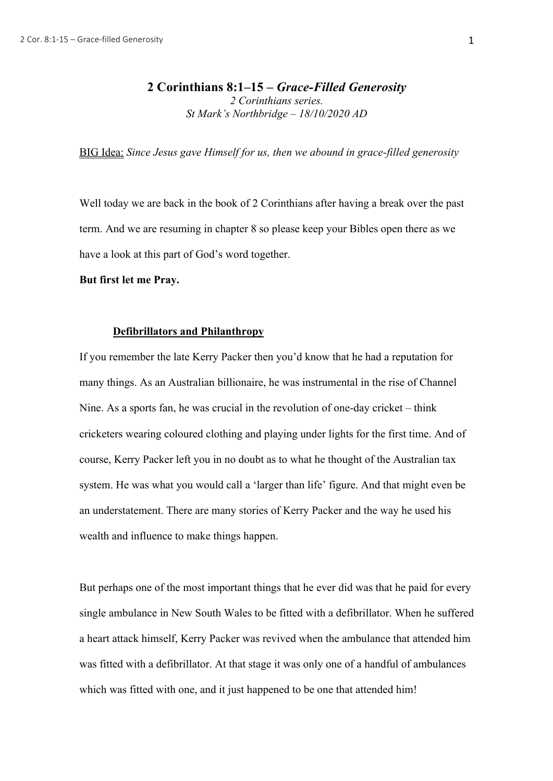BIG Idea: *Since Jesus gave Himself for us, then we abound in grace-filled generosity*

Well today we are back in the book of 2 Corinthians after having a break over the past term. And we are resuming in chapter 8 so please keep your Bibles open there as we have a look at this part of God's word together.

**But first let me Pray.**

# **Defibrillators and Philanthropy**

If you remember the late Kerry Packer then you'd know that he had a reputation for many things. As an Australian billionaire, he was instrumental in the rise of Channel Nine. As a sports fan, he was crucial in the revolution of one-day cricket – think cricketers wearing coloured clothing and playing under lights for the first time. And of course, Kerry Packer left you in no doubt as to what he thought of the Australian tax system. He was what you would call a 'larger than life' figure. And that might even be an understatement. There are many stories of Kerry Packer and the way he used his wealth and influence to make things happen.

But perhaps one of the most important things that he ever did was that he paid for every single ambulance in New South Wales to be fitted with a defibrillator. When he suffered a heart attack himself, Kerry Packer was revived when the ambulance that attended him was fitted with a defibrillator. At that stage it was only one of a handful of ambulances which was fitted with one, and it just happened to be one that attended him!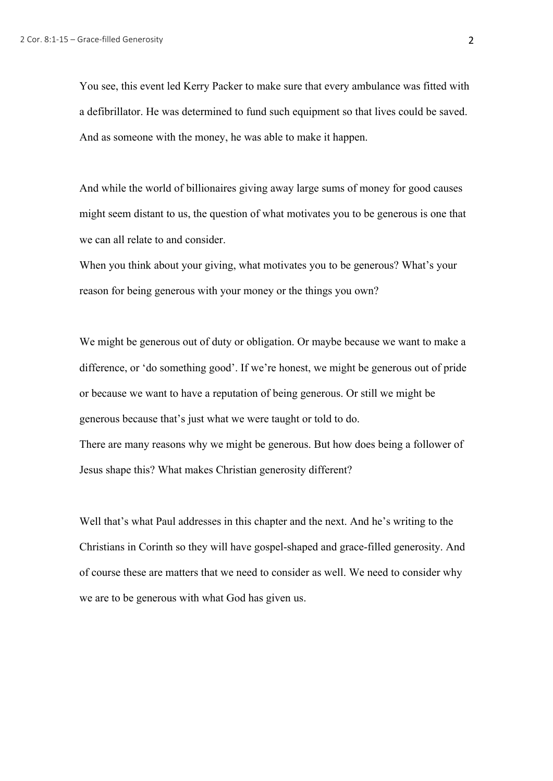You see, this event led Kerry Packer to make sure that every ambulance was fitted with a defibrillator. He was determined to fund such equipment so that lives could be saved. And as someone with the money, he was able to make it happen.

And while the world of billionaires giving away large sums of money for good causes might seem distant to us, the question of what motivates you to be generous is one that we can all relate to and consider.

When you think about your giving, what motivates you to be generous? What's your reason for being generous with your money or the things you own?

We might be generous out of duty or obligation. Or maybe because we want to make a difference, or 'do something good'. If we're honest, we might be generous out of pride or because we want to have a reputation of being generous. Or still we might be generous because that's just what we were taught or told to do. There are many reasons why we might be generous. But how does being a follower of Jesus shape this? What makes Christian generosity different?

Well that's what Paul addresses in this chapter and the next. And he's writing to the Christians in Corinth so they will have gospel-shaped and grace-filled generosity. And of course these are matters that we need to consider as well. We need to consider why we are to be generous with what God has given us.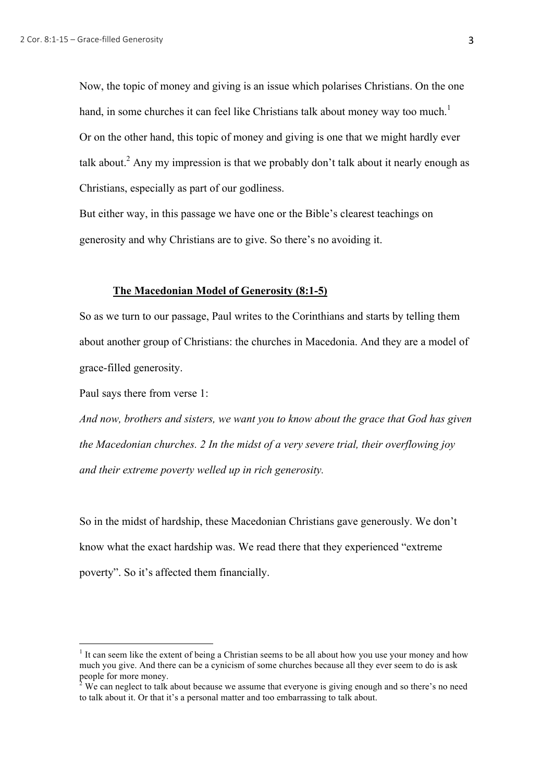Now, the topic of money and giving is an issue which polarises Christians. On the one hand, in some churches it can feel like Christians talk about money way too much.<sup>1</sup> Or on the other hand, this topic of money and giving is one that we might hardly ever talk about.<sup>2</sup> Any my impression is that we probably don't talk about it nearly enough as Christians, especially as part of our godliness.

But either way, in this passage we have one or the Bible's clearest teachings on generosity and why Christians are to give. So there's no avoiding it.

# **The Macedonian Model of Generosity (8:1-5)**

So as we turn to our passage, Paul writes to the Corinthians and starts by telling them about another group of Christians: the churches in Macedonia. And they are a model of grace-filled generosity.

Paul says there from verse 1:

*And now, brothers and sisters, we want you to know about the grace that God has given the Macedonian churches. 2 In the midst of a very severe trial, their overflowing joy and their extreme poverty welled up in rich generosity.*

So in the midst of hardship, these Macedonian Christians gave generously. We don't know what the exact hardship was. We read there that they experienced "extreme poverty". So it's affected them financially.

 $1$  It can seem like the extent of being a Christian seems to be all about how you use your money and how much you give. And there can be a cynicism of some churches because all they ever seem to do is ask people for more money.

 $2\,\text{We can neglect to talk about because we assume that everyone is giving enough and so there's no need.}$ to talk about it. Or that it's a personal matter and too embarrassing to talk about.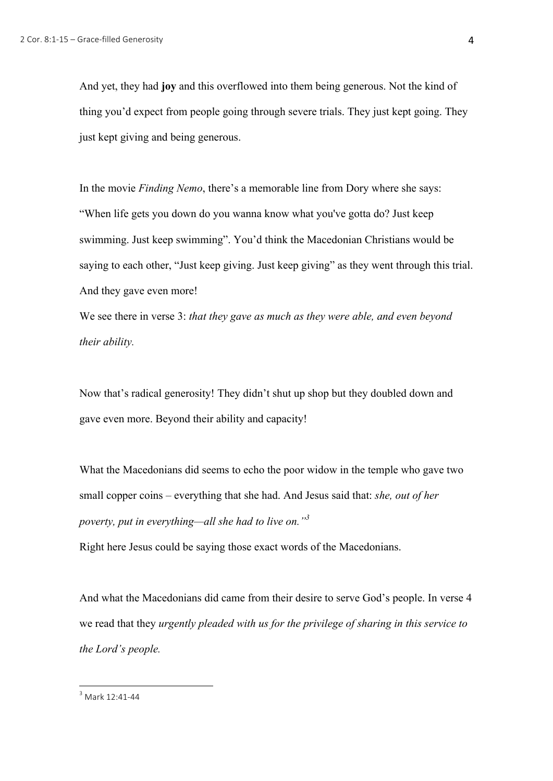And yet, they had **joy** and this overflowed into them being generous. Not the kind of thing you'd expect from people going through severe trials. They just kept going. They just kept giving and being generous.

In the movie *Finding Nemo*, there's a memorable line from Dory where she says: "When life gets you down do you wanna know what you've gotta do? Just keep swimming. Just keep swimming". You'd think the Macedonian Christians would be saying to each other, "Just keep giving. Just keep giving" as they went through this trial. And they gave even more!

We see there in verse 3: *that they gave as much as they were able, and even beyond their ability.*

Now that's radical generosity! They didn't shut up shop but they doubled down and gave even more. Beyond their ability and capacity!

What the Macedonians did seems to echo the poor widow in the temple who gave two small copper coins – everything that she had. And Jesus said that: *she, out of her poverty, put in everything—all she had to live on."3*

Right here Jesus could be saying those exact words of the Macedonians.

And what the Macedonians did came from their desire to serve God's people. In verse 4 we read that they *urgently pleaded with us for the privilege of sharing in this service to the Lord's people.*

 $3$  Mark 12:41-44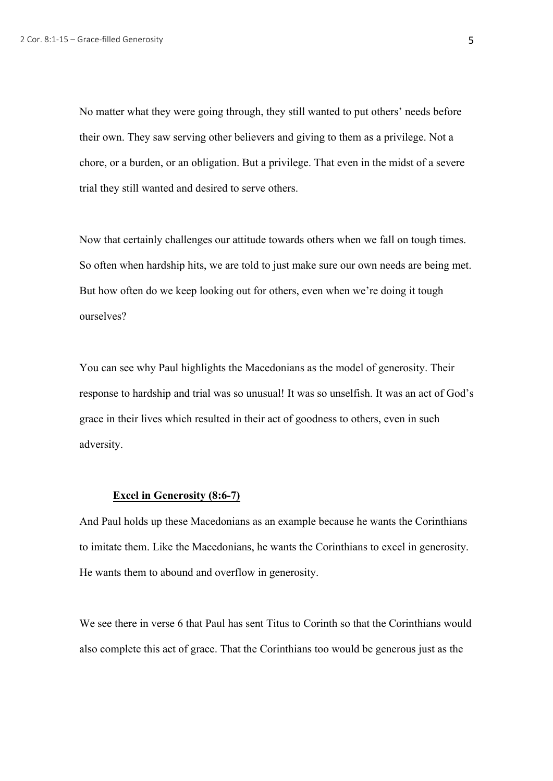No matter what they were going through, they still wanted to put others' needs before their own. They saw serving other believers and giving to them as a privilege. Not a chore, or a burden, or an obligation. But a privilege. That even in the midst of a severe trial they still wanted and desired to serve others.

Now that certainly challenges our attitude towards others when we fall on tough times. So often when hardship hits, we are told to just make sure our own needs are being met. But how often do we keep looking out for others, even when we're doing it tough ourselves?

You can see why Paul highlights the Macedonians as the model of generosity. Their response to hardship and trial was so unusual! It was so unselfish. It was an act of God's grace in their lives which resulted in their act of goodness to others, even in such adversity.

#### **Excel in Generosity (8:6-7)**

And Paul holds up these Macedonians as an example because he wants the Corinthians to imitate them. Like the Macedonians, he wants the Corinthians to excel in generosity. He wants them to abound and overflow in generosity.

We see there in verse 6 that Paul has sent Titus to Corinth so that the Corinthians would also complete this act of grace. That the Corinthians too would be generous just as the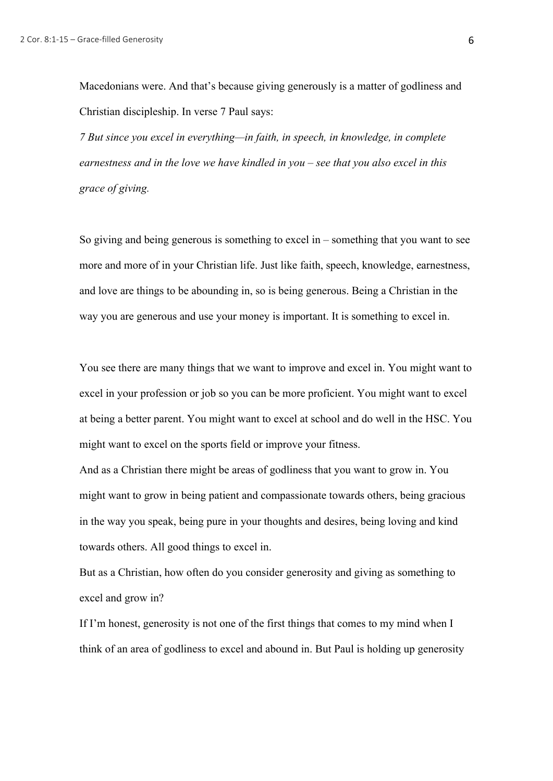Macedonians were. And that's because giving generously is a matter of godliness and Christian discipleship. In verse 7 Paul says:

*7 But since you excel in everything—in faith, in speech, in knowledge, in complete earnestness and in the love we have kindled in you – see that you also excel in this grace of giving.*

So giving and being generous is something to excel in – something that you want to see more and more of in your Christian life. Just like faith, speech, knowledge, earnestness, and love are things to be abounding in, so is being generous. Being a Christian in the way you are generous and use your money is important. It is something to excel in.

You see there are many things that we want to improve and excel in. You might want to excel in your profession or job so you can be more proficient. You might want to excel at being a better parent. You might want to excel at school and do well in the HSC. You might want to excel on the sports field or improve your fitness.

And as a Christian there might be areas of godliness that you want to grow in. You might want to grow in being patient and compassionate towards others, being gracious in the way you speak, being pure in your thoughts and desires, being loving and kind towards others. All good things to excel in.

But as a Christian, how often do you consider generosity and giving as something to excel and grow in?

If I'm honest, generosity is not one of the first things that comes to my mind when I think of an area of godliness to excel and abound in. But Paul is holding up generosity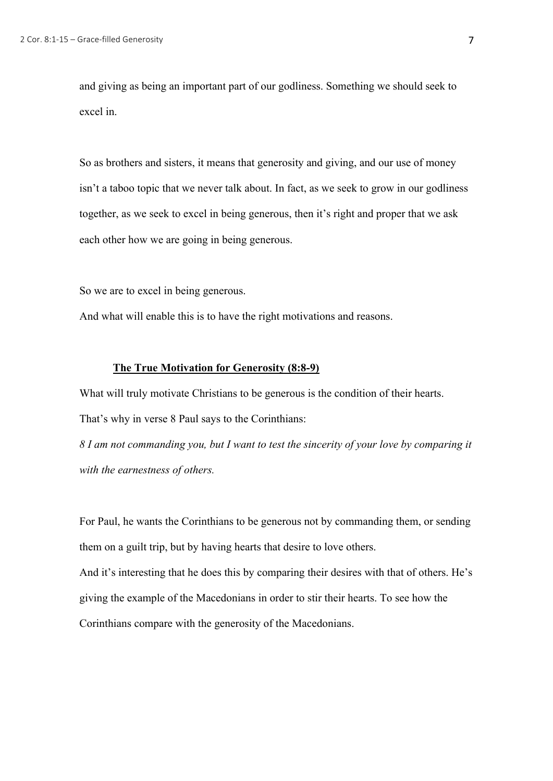and giving as being an important part of our godliness. Something we should seek to excel in.

So as brothers and sisters, it means that generosity and giving, and our use of money isn't a taboo topic that we never talk about. In fact, as we seek to grow in our godliness together, as we seek to excel in being generous, then it's right and proper that we ask each other how we are going in being generous.

So we are to excel in being generous.

And what will enable this is to have the right motivations and reasons.

### **The True Motivation for Generosity (8:8-9)**

What will truly motivate Christians to be generous is the condition of their hearts. That's why in verse 8 Paul says to the Corinthians:

*8 I am not commanding you, but I want to test the sincerity of your love by comparing it with the earnestness of others.*

For Paul, he wants the Corinthians to be generous not by commanding them, or sending them on a guilt trip, but by having hearts that desire to love others. And it's interesting that he does this by comparing their desires with that of others. He's giving the example of the Macedonians in order to stir their hearts. To see how the Corinthians compare with the generosity of the Macedonians.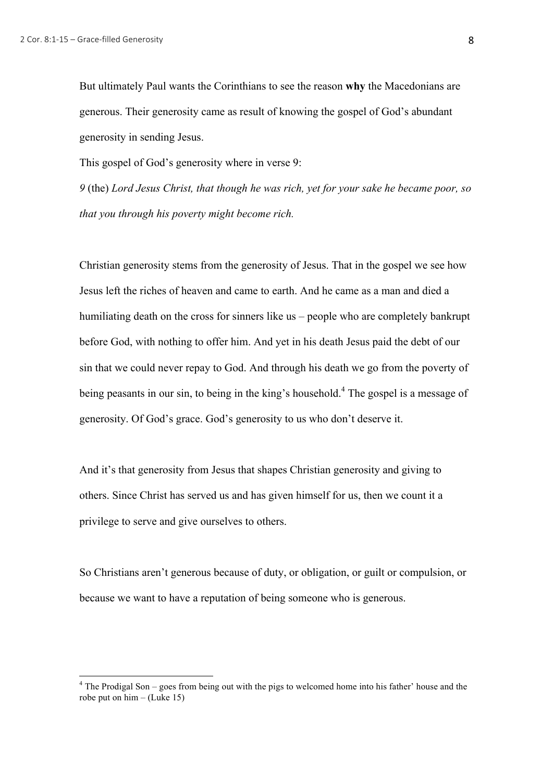But ultimately Paul wants the Corinthians to see the reason **why** the Macedonians are generous. Their generosity came as result of knowing the gospel of God's abundant generosity in sending Jesus.

This gospel of God's generosity where in verse 9:

*9* (the) *Lord Jesus Christ, that though he was rich, yet for your sake he became poor, so that you through his poverty might become rich.*

Christian generosity stems from the generosity of Jesus. That in the gospel we see how Jesus left the riches of heaven and came to earth. And he came as a man and died a humiliating death on the cross for sinners like us – people who are completely bankrupt before God, with nothing to offer him. And yet in his death Jesus paid the debt of our sin that we could never repay to God. And through his death we go from the poverty of being peasants in our sin, to being in the king's household.<sup>4</sup> The gospel is a message of generosity. Of God's grace. God's generosity to us who don't deserve it.

And it's that generosity from Jesus that shapes Christian generosity and giving to others. Since Christ has served us and has given himself for us, then we count it a privilege to serve and give ourselves to others.

So Christians aren't generous because of duty, or obligation, or guilt or compulsion, or because we want to have a reputation of being someone who is generous.

 $4$  The Prodigal Son – goes from being out with the pigs to welcomed home into his father' house and the robe put on him  $-$  (Luke 15)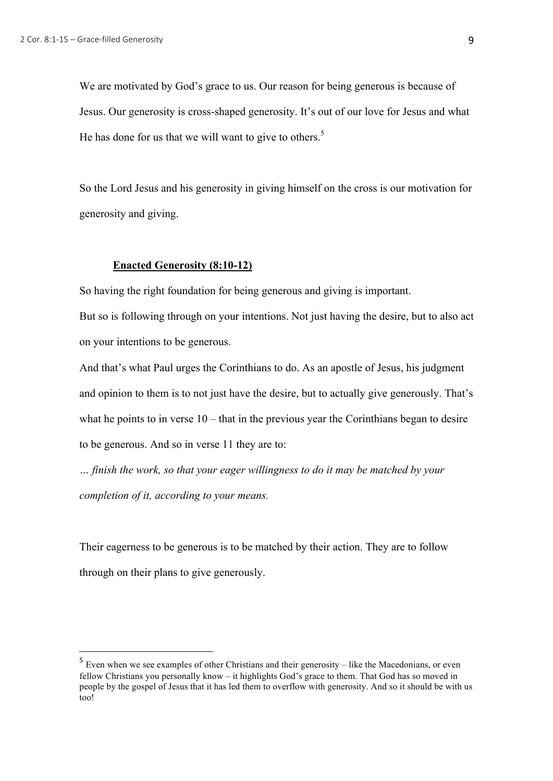We are motivated by God's grace to us. Our reason for being generous is because of Jesus. Our generosity is cross-shaped generosity. It's out of our love for Jesus and what He has done for us that we will want to give to others.<sup>5</sup>

So the Lord Jesus and his generosity in giving himself on the cross is our motivation for generosity and giving.

### **Enacted Generosity (8:10-12)**

 

So having the right foundation for being generous and giving is important.

But so is following through on your intentions. Not just having the desire, but to also act on your intentions to be generous.

And that's what Paul urges the Corinthians to do. As an apostle of Jesus, his judgment and opinion to them is to not just have the desire, but to actually give generously. That's what he points to in verse  $10$  – that in the previous year the Corinthians began to desire to be generous. And so in verse 11 they are to:

*… finish the work, so that your eager willingness to do it may be matched by your completion of it, according to your means.* 

Their eagerness to be generous is to be matched by their action. They are to follow through on their plans to give generously.

<sup>5</sup> Even when we see examples of other Christians and their generosity – like the Macedonians, or even fellow Christians you personally know – it highlights God's grace to them. That God has so moved in people by the gospel of Jesus that it has led them to overflow with generosity. And so it should be with us too!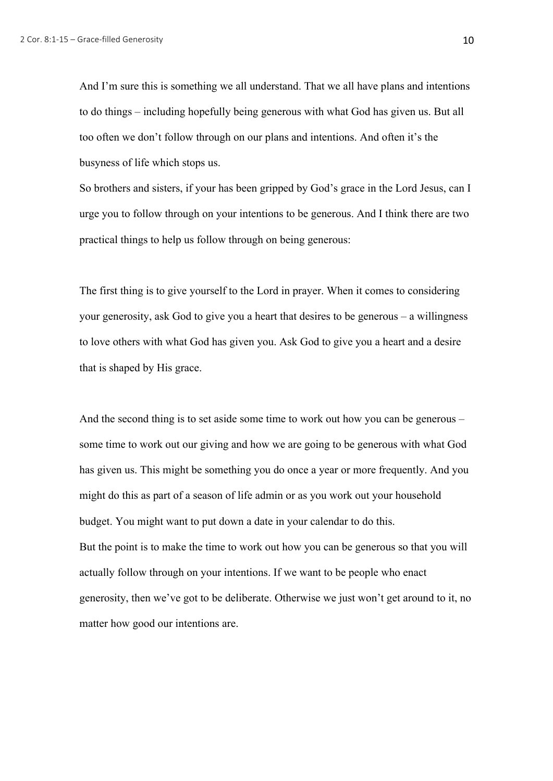And I'm sure this is something we all understand. That we all have plans and intentions to do things – including hopefully being generous with what God has given us. But all too often we don't follow through on our plans and intentions. And often it's the busyness of life which stops us.

So brothers and sisters, if your has been gripped by God's grace in the Lord Jesus, can I urge you to follow through on your intentions to be generous. And I think there are two practical things to help us follow through on being generous:

The first thing is to give yourself to the Lord in prayer. When it comes to considering your generosity, ask God to give you a heart that desires to be generous – a willingness to love others with what God has given you. Ask God to give you a heart and a desire that is shaped by His grace.

And the second thing is to set aside some time to work out how you can be generous – some time to work out our giving and how we are going to be generous with what God has given us. This might be something you do once a year or more frequently. And you might do this as part of a season of life admin or as you work out your household budget. You might want to put down a date in your calendar to do this. But the point is to make the time to work out how you can be generous so that you will actually follow through on your intentions. If we want to be people who enact generosity, then we've got to be deliberate. Otherwise we just won't get around to it, no matter how good our intentions are.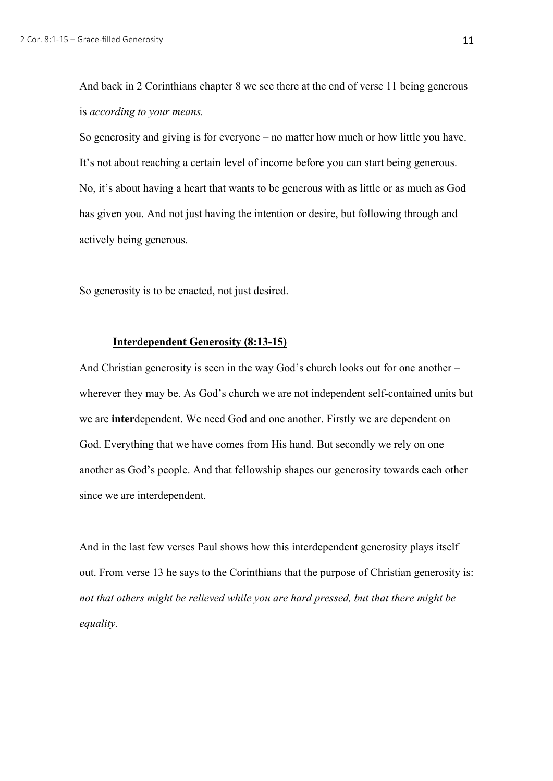And back in 2 Corinthians chapter 8 we see there at the end of verse 11 being generous is *according to your means.*

So generosity and giving is for everyone – no matter how much or how little you have. It's not about reaching a certain level of income before you can start being generous. No, it's about having a heart that wants to be generous with as little or as much as God has given you. And not just having the intention or desire, but following through and actively being generous.

So generosity is to be enacted, not just desired.

## **Interdependent Generosity (8:13-15)**

And Christian generosity is seen in the way God's church looks out for one another – wherever they may be. As God's church we are not independent self-contained units but we are **inter**dependent. We need God and one another. Firstly we are dependent on God. Everything that we have comes from His hand. But secondly we rely on one another as God's people. And that fellowship shapes our generosity towards each other since we are interdependent.

And in the last few verses Paul shows how this interdependent generosity plays itself out. From verse 13 he says to the Corinthians that the purpose of Christian generosity is: *not that others might be relieved while you are hard pressed, but that there might be equality.*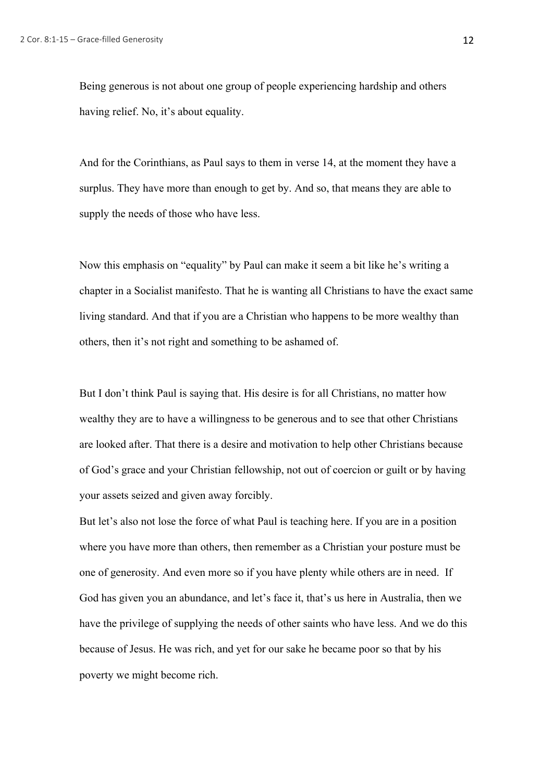Being generous is not about one group of people experiencing hardship and others having relief. No, it's about equality.

And for the Corinthians, as Paul says to them in verse 14, at the moment they have a surplus. They have more than enough to get by. And so, that means they are able to supply the needs of those who have less.

Now this emphasis on "equality" by Paul can make it seem a bit like he's writing a chapter in a Socialist manifesto. That he is wanting all Christians to have the exact same living standard. And that if you are a Christian who happens to be more wealthy than others, then it's not right and something to be ashamed of.

But I don't think Paul is saying that. His desire is for all Christians, no matter how wealthy they are to have a willingness to be generous and to see that other Christians are looked after. That there is a desire and motivation to help other Christians because of God's grace and your Christian fellowship, not out of coercion or guilt or by having your assets seized and given away forcibly.

But let's also not lose the force of what Paul is teaching here. If you are in a position where you have more than others, then remember as a Christian your posture must be one of generosity. And even more so if you have plenty while others are in need. If God has given you an abundance, and let's face it, that's us here in Australia, then we have the privilege of supplying the needs of other saints who have less. And we do this because of Jesus. He was rich, and yet for our sake he became poor so that by his poverty we might become rich.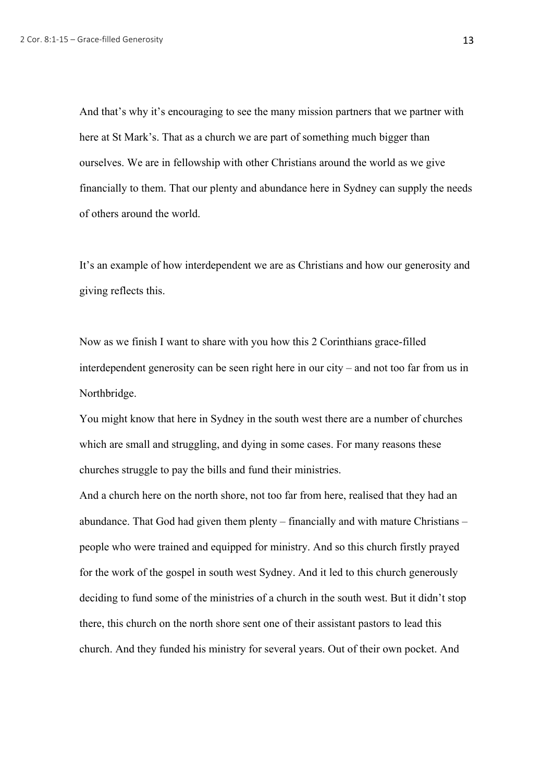And that's why it's encouraging to see the many mission partners that we partner with here at St Mark's. That as a church we are part of something much bigger than ourselves. We are in fellowship with other Christians around the world as we give financially to them. That our plenty and abundance here in Sydney can supply the needs of others around the world.

It's an example of how interdependent we are as Christians and how our generosity and giving reflects this.

Now as we finish I want to share with you how this 2 Corinthians grace-filled interdependent generosity can be seen right here in our city – and not too far from us in Northbridge.

You might know that here in Sydney in the south west there are a number of churches which are small and struggling, and dying in some cases. For many reasons these churches struggle to pay the bills and fund their ministries.

And a church here on the north shore, not too far from here, realised that they had an abundance. That God had given them plenty – financially and with mature Christians – people who were trained and equipped for ministry. And so this church firstly prayed for the work of the gospel in south west Sydney. And it led to this church generously deciding to fund some of the ministries of a church in the south west. But it didn't stop there, this church on the north shore sent one of their assistant pastors to lead this church. And they funded his ministry for several years. Out of their own pocket. And